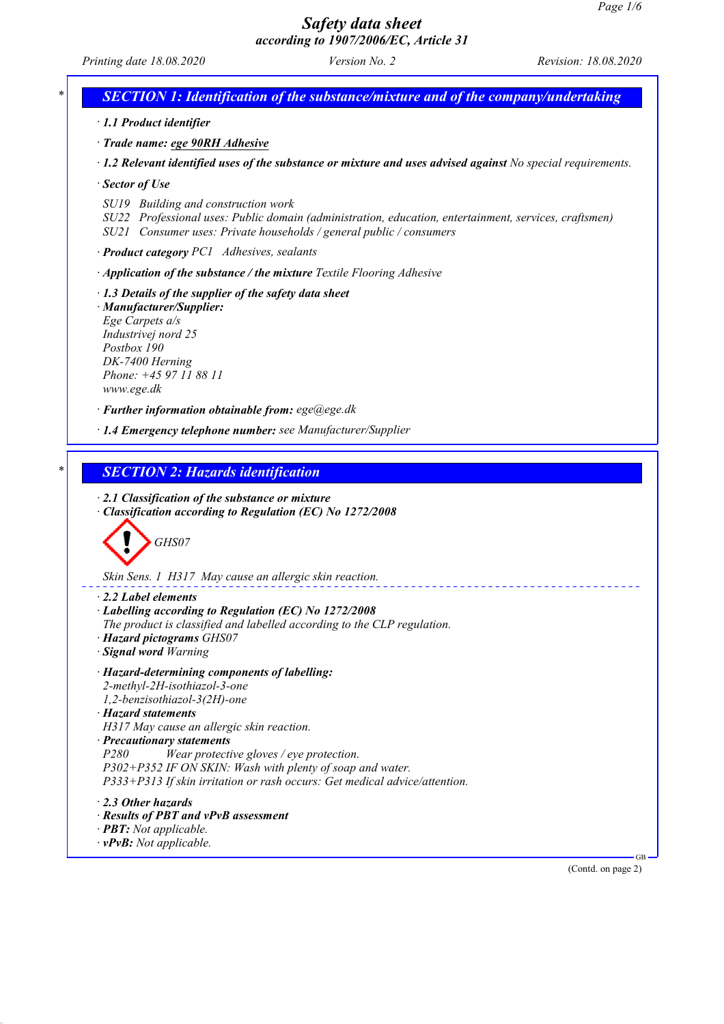*Printing date 18.08.2020 Version No. 2 Revision: 18.08.2020 SECTION 1: Identification of the substance/mixture and of the company/undertaking · 1.1 Product identifier · Trade name: ege 90RH Adhesive · 1.2 Relevant identified uses of the substance or mixture and uses advised against No special requirements. · Sector of Use SU19 Building and construction work SU22 Professional uses: Public domain (administration, education, entertainment, services, craftsmen) SU21 Consumer uses: Private households / general public / consumers · Product category PC1 Adhesives, sealants · Application of the substance / the mixture Textile Flooring Adhesive · 1.3 Details of the supplier of the safety data sheet · Manufacturer/Supplier: Ege Carpets a/s Industrivej nord 25 Postbox 190 DK-7400 Herning Phone: +45 97 11 88 11 www.ege.dk · Further information obtainable from: ege@ege.dk · 1.4 Emergency telephone number: see Manufacturer/Supplier \* SECTION 2: Hazards identification · 2.1 Classification of the substance or mixture · Classification according to Regulation (EC) No 1272/2008 GHS07 Skin Sens. 1 H317 May cause an allergic skin reaction. · 2.2 Label elements · Labelling according to Regulation (EC) No 1272/2008 The product is classified and labelled according to the CLP regulation. · Hazard pictograms GHS07 · Signal word Warning · Hazard-determining components of labelling: 2-methyl-2H-isothiazol-3-one 1,2-benzisothiazol-3(2H)-one · Hazard statements H317 May cause an allergic skin reaction. · Precautionary statements P280 Wear protective gloves / eye protection. P302+P352 IF ON SKIN: Wash with plenty of soap and water. P333+P313 If skin irritation or rash occurs: Get medical advice/attention. · 2.3 Other hazards · Results of PBT and vPvB assessment · PBT: Not applicable. · vPvB: Not applicable.* GB (Contd. on page 2)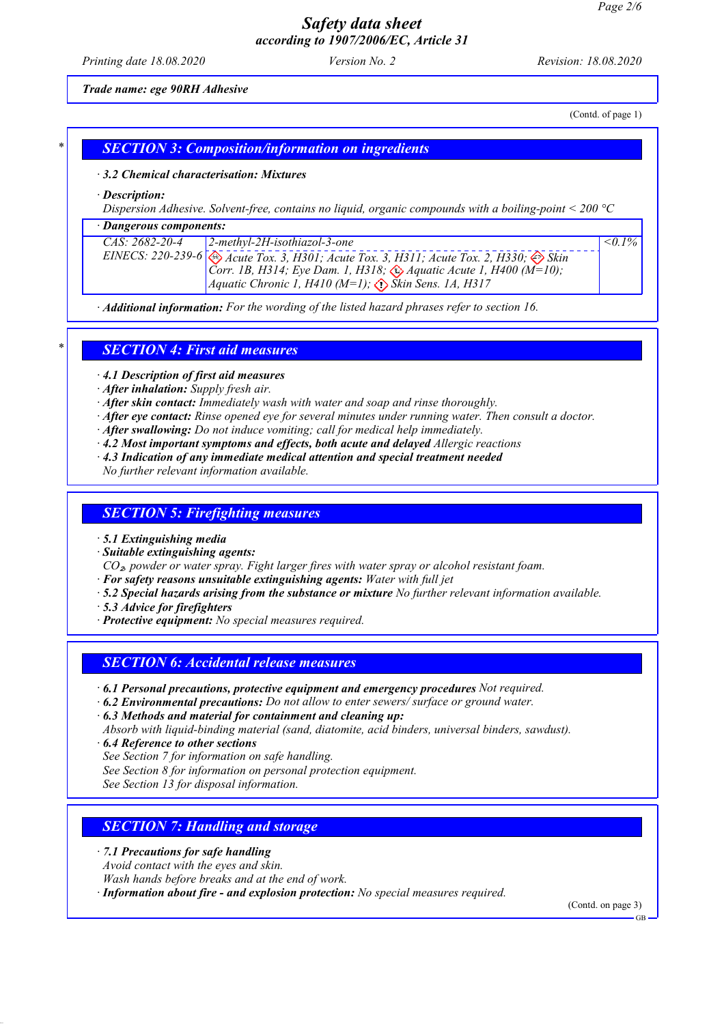*Printing date 18.08.2020 Version No. 2 Revision: 18.08.2020*

*Trade name: ege 90RH Adhesive*

(Contd. of page 1)

### *\* SECTION 3: Composition/information on ingredients*

#### *· 3.2 Chemical characterisation: Mixtures*

*· Description:*

*Dispersion Adhesive. Solvent-free, contains no liquid, organic compounds with a boiling-point < 200 °C*

#### *· Dangerous components:*

| CAS: 2682-20-4 | $2$ -methyl-2H-isothiazol-3-one                                                                                                                                           | $\leq 0.1\%$ |
|----------------|---------------------------------------------------------------------------------------------------------------------------------------------------------------------------|--------------|
|                |                                                                                                                                                                           |              |
|                | EINECS: 220-239-6 Acute Tox. 3, H301; Acute Tox. 3, H311; Acute Tox. 2, H330; $\otimes$ Skin<br>Corr. 1B, H314; Eye Dam. 1, H318; $\otimes$ Aquatic Acute 1, H400 (M=10); |              |
|                | <i>Aquatic Chronic 1, H410 (M=1); <math>\langle \cdot \rangle</math> Skin Sens. 1A, H317</i>                                                                              |              |
|                |                                                                                                                                                                           |              |

*· Additional information: For the wording of the listed hazard phrases refer to section 16.*

#### *\* SECTION 4: First aid measures*

*· 4.1 Description of first aid measures*

- *· After inhalation: Supply fresh air.*
- *· After skin contact: Immediately wash with water and soap and rinse thoroughly.*
- *· After eye contact: Rinse opened eye for several minutes under running water. Then consult a doctor.*
- *· After swallowing: Do not induce vomiting; call for medical help immediately.*
- *· 4.2 Most important symptoms and effects, both acute and delayed Allergic reactions*
- *· 4.3 Indication of any immediate medical attention and special treatment needed*

*No further relevant information available.*

#### *SECTION 5: Firefighting measures*

- *· 5.1 Extinguishing media*
- *· Suitable extinguishing agents:*

*CO*₂*, powder or water spray. Fight larger fires with water spray or alcohol resistant foam.*

- *· For safety reasons unsuitable extinguishing agents: Water with full jet*
- *· 5.2 Special hazards arising from the substance or mixture No further relevant information available.*
- *· 5.3 Advice for firefighters*
- *· Protective equipment: No special measures required.*

#### *SECTION 6: Accidental release measures*

- *· 6.1 Personal precautions, protective equipment and emergency procedures Not required.*
- *· 6.2 Environmental precautions: Do not allow to enter sewers/ surface or ground water.*
- *· 6.3 Methods and material for containment and cleaning up:*

*Absorb with liquid-binding material (sand, diatomite, acid binders, universal binders, sawdust).*

*· 6.4 Reference to other sections*

- *See Section 7 for information on safe handling.*
- *See Section 8 for information on personal protection equipment.*
- *See Section 13 for disposal information.*

### *SECTION 7: Handling and storage*

- *· 7.1 Precautions for safe handling*
- *Avoid contact with the eyes and skin.*
- *Wash hands before breaks and at the end of work.*

*· Information about fire - and explosion protection: No special measures required.*

(Contd. on page 3)

GB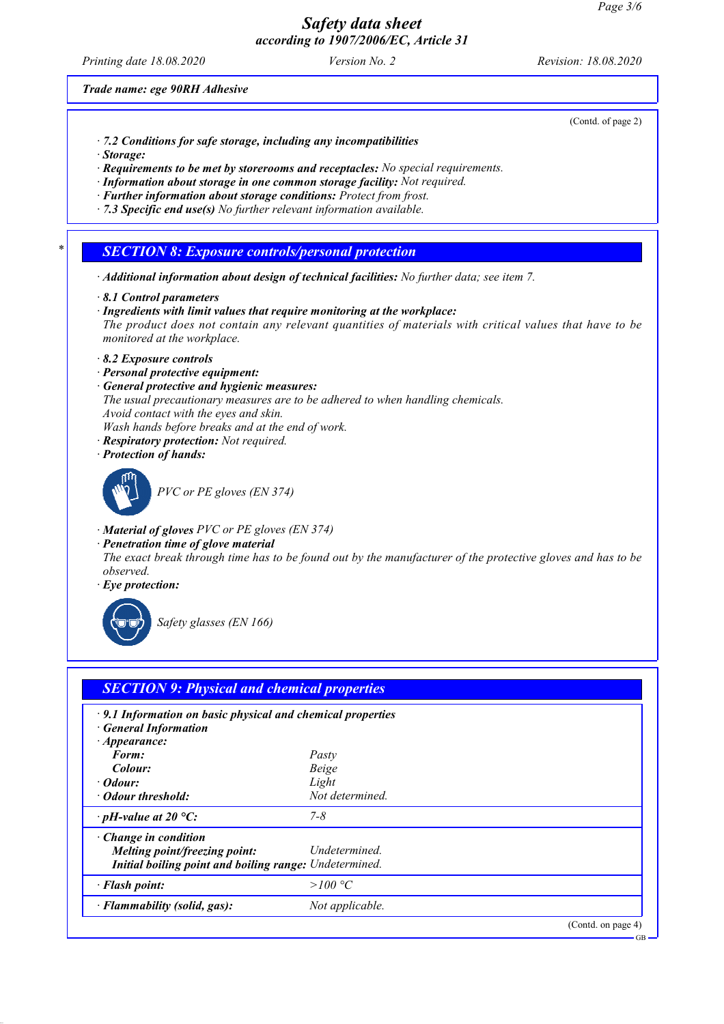*Printing date 18.08.2020 Version No. 2 Revision: 18.08.2020*

(Contd. of page 2)

*Trade name: ege 90RH Adhesive*

- *· 7.2 Conditions for safe storage, including any incompatibilities*
- *· Storage:*
- *· Requirements to be met by storerooms and receptacles: No special requirements.*
- *· Information about storage in one common storage facility: Not required.*
- *· Further information about storage conditions: Protect from frost.*
- *· 7.3 Specific end use(s) No further relevant information available.*

#### *\* SECTION 8: Exposure controls/personal protection*

- *· Additional information about design of technical facilities: No further data; see item 7.*
- *· 8.1 Control parameters*
- *· Ingredients with limit values that require monitoring at the workplace: The product does not contain any relevant quantities of materials with critical values that have to be monitored at the workplace.*
- *· 8.2 Exposure controls*
- *· Personal protective equipment:*
- *· General protective and hygienic measures: The usual precautionary measures are to be adhered to when handling chemicals. Avoid contact with the eyes and skin. Wash hands before breaks and at the end of work.*
- *· Respiratory protection: Not required.*
- *· Protection of hands:*



*PVC or PE gloves (EN 374)*

- *· Material of gloves PVC or PE gloves (EN 374)*
- *· Penetration time of glove material*

*The exact break through time has to be found out by the manufacturer of the protective gloves and has to be observed.*

*· Eye protection:*



*Safety glasses (EN 166)*

| · 9.1 Information on basic physical and chemical properties |  |
|-------------------------------------------------------------|--|
|                                                             |  |
| Pasty                                                       |  |
| Beige                                                       |  |
| Light                                                       |  |
| Not determined.                                             |  |
| $7 - 8$                                                     |  |
|                                                             |  |
| Undetermined.                                               |  |
| Initial boiling point and boiling range: Undetermined.      |  |
| >100 °C                                                     |  |
| Not applicable.                                             |  |
|                                                             |  |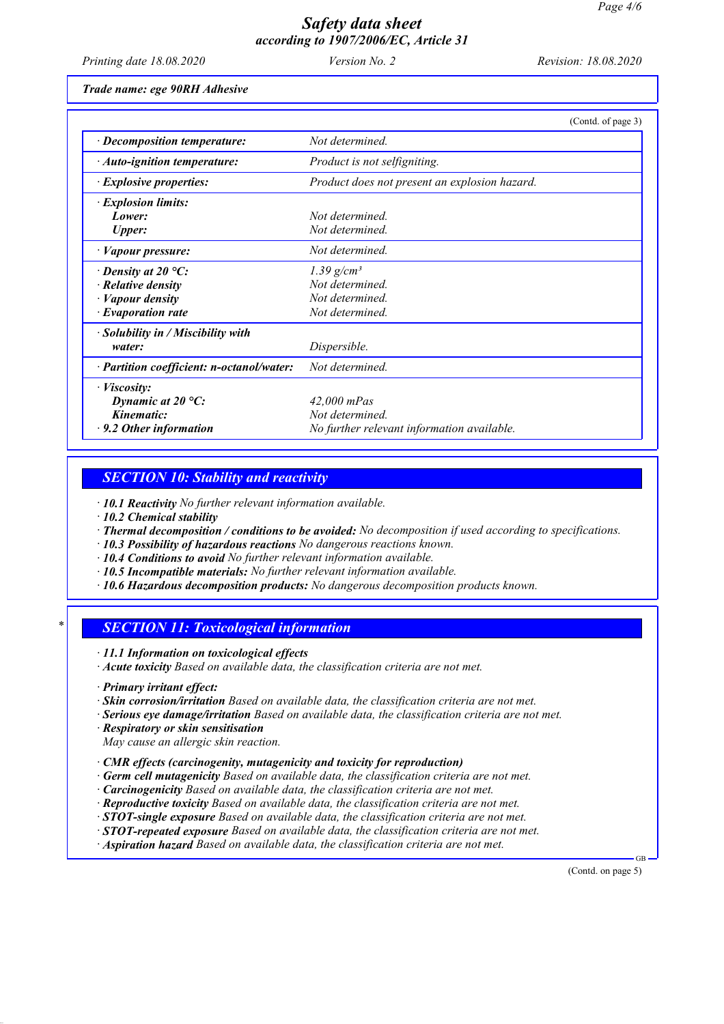*Printing date 18.08.2020 Version No. 2 Revision: 18.08.2020*

*Trade name: ege 90RH Adhesive*

|                                           | (Contd. of page 3)                            |
|-------------------------------------------|-----------------------------------------------|
| $\cdot$ Decomposition temperature:        | Not determined.                               |
| · Auto-ignition temperature:              | Product is not selfigniting.                  |
| · Explosive properties:                   | Product does not present an explosion hazard. |
| <i>Explosion limits:</i>                  |                                               |
| Lower:                                    | Not determined.                               |
| <b>Upper:</b>                             | Not determined.                               |
| $\cdot$ <i>Vapour pressure:</i>           | Not determined.                               |
| $\cdot$ Density at 20 °C:                 | 1.39 $g/cm^3$                                 |
| $\cdot$ Relative density                  | Not determined.                               |
| $\cdot$ <i>Vapour density</i>             | Not determined.                               |
| $\cdot$ Evaporation rate                  | Not determined.                               |
| · Solubility in / Miscibility with        |                                               |
| water:                                    | Dispersible.                                  |
| · Partition coefficient: n-octanol/water: | Not determined.                               |
| · <i>Viscosity</i> :                      |                                               |
| Dynamic at $20^{\circ}$ C:                | $42,000$ mPas                                 |
| Kinematic:                                | Not determined.                               |
| $\cdot$ 9.2 Other information             | No further relevant information available.    |

#### *SECTION 10: Stability and reactivity*

*· 10.1 Reactivity No further relevant information available.*

- *· 10.2 Chemical stability*
- *· Thermal decomposition / conditions to be avoided: No decomposition if used according to specifications.*
- *· 10.3 Possibility of hazardous reactions No dangerous reactions known.*
- *· 10.4 Conditions to avoid No further relevant information available.*
- *· 10.5 Incompatible materials: No further relevant information available.*
- *· 10.6 Hazardous decomposition products: No dangerous decomposition products known.*

### *\* SECTION 11: Toxicological information*

- *· 11.1 Information on toxicological effects*
- *· Acute toxicity Based on available data, the classification criteria are not met.*
- *· Primary irritant effect:*
- *· Skin corrosion/irritation Based on available data, the classification criteria are not met.*
- *· Serious eye damage/irritation Based on available data, the classification criteria are not met.*
- *· Respiratory or skin sensitisation May cause an allergic skin reaction.*
- *· CMR effects (carcinogenity, mutagenicity and toxicity for reproduction)*
- *· Germ cell mutagenicity Based on available data, the classification criteria are not met.*
- *· Carcinogenicity Based on available data, the classification criteria are not met.*
- *· Reproductive toxicity Based on available data, the classification criteria are not met.*
- *· STOT-single exposure Based on available data, the classification criteria are not met.*
- *· STOT-repeated exposure Based on available data, the classification criteria are not met.*
- *· Aspiration hazard Based on available data, the classification criteria are not met.*

(Contd. on page 5)

GB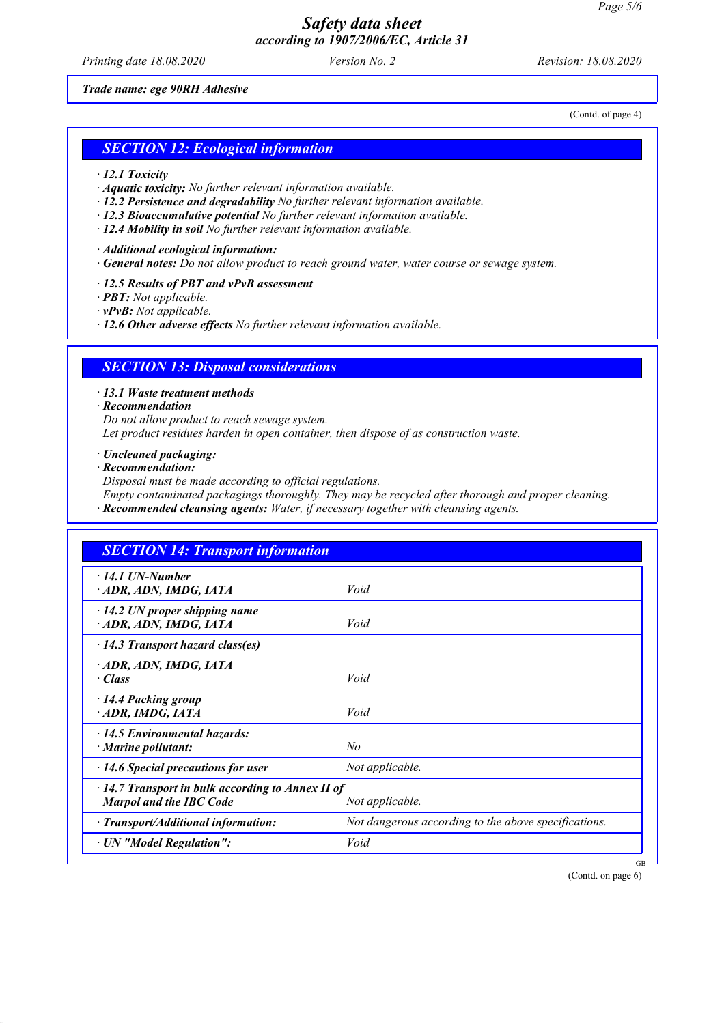*Printing date 18.08.2020 Version No. 2 Revision: 18.08.2020*

*Trade name: ege 90RH Adhesive*

(Contd. of page 4)

#### *SECTION 12: Ecological information*

- *· 12.1 Toxicity*
- *· Aquatic toxicity: No further relevant information available.*
- *· 12.2 Persistence and degradability No further relevant information available.*
- *· 12.3 Bioaccumulative potential No further relevant information available.*
- *· 12.4 Mobility in soil No further relevant information available.*
- *· Additional ecological information:*
- *· General notes: Do not allow product to reach ground water, water course or sewage system.*
- *· 12.5 Results of PBT and vPvB assessment*
- *· PBT: Not applicable.*
- *· vPvB: Not applicable.*
- *· 12.6 Other adverse effects No further relevant information available.*

### *SECTION 13: Disposal considerations*

*· 13.1 Waste treatment methods*

- *· Recommendation*
- *Do not allow product to reach sewage system.*

*Let product residues harden in open container, then dispose of as construction waste.*

- *· Uncleaned packaging:*
- *· Recommendation:*
- *Disposal must be made according to official regulations.*
- *Empty contaminated packagings thoroughly. They may be recycled after thorough and proper cleaning.*
- *· Recommended cleansing agents: Water, if necessary together with cleansing agents.*

| <b>SECTION 14: Transport information</b>                                                  |                                                      |
|-------------------------------------------------------------------------------------------|------------------------------------------------------|
| $\cdot$ 14.1 UN-Number<br>ADR, ADN, IMDG, IATA                                            | Void                                                 |
| $\cdot$ 14.2 UN proper shipping name<br>ADR, ADN, IMDG, IATA                              | Void                                                 |
| $\cdot$ 14.3 Transport hazard class(es)                                                   |                                                      |
| ADR, ADN, IMDG, IATA<br>· Class                                                           | Void                                                 |
| 14.4 Packing group<br>ADR, IMDG, IATA                                                     | Void                                                 |
| $\cdot$ 14.5 Environmental hazards:<br>$\cdot$ Marine pollutant:                          | No                                                   |
| $\cdot$ 14.6 Special precautions for user                                                 | Not applicable.                                      |
| $\cdot$ 14.7 Transport in bulk according to Annex II of<br><b>Marpol and the IBC Code</b> | Not applicable.                                      |
| $\cdot$ Transport/Additional information:                                                 | Not dangerous according to the above specifications. |
| · UN "Model Regulation":                                                                  | Void                                                 |

(Contd. on page 6)

GB